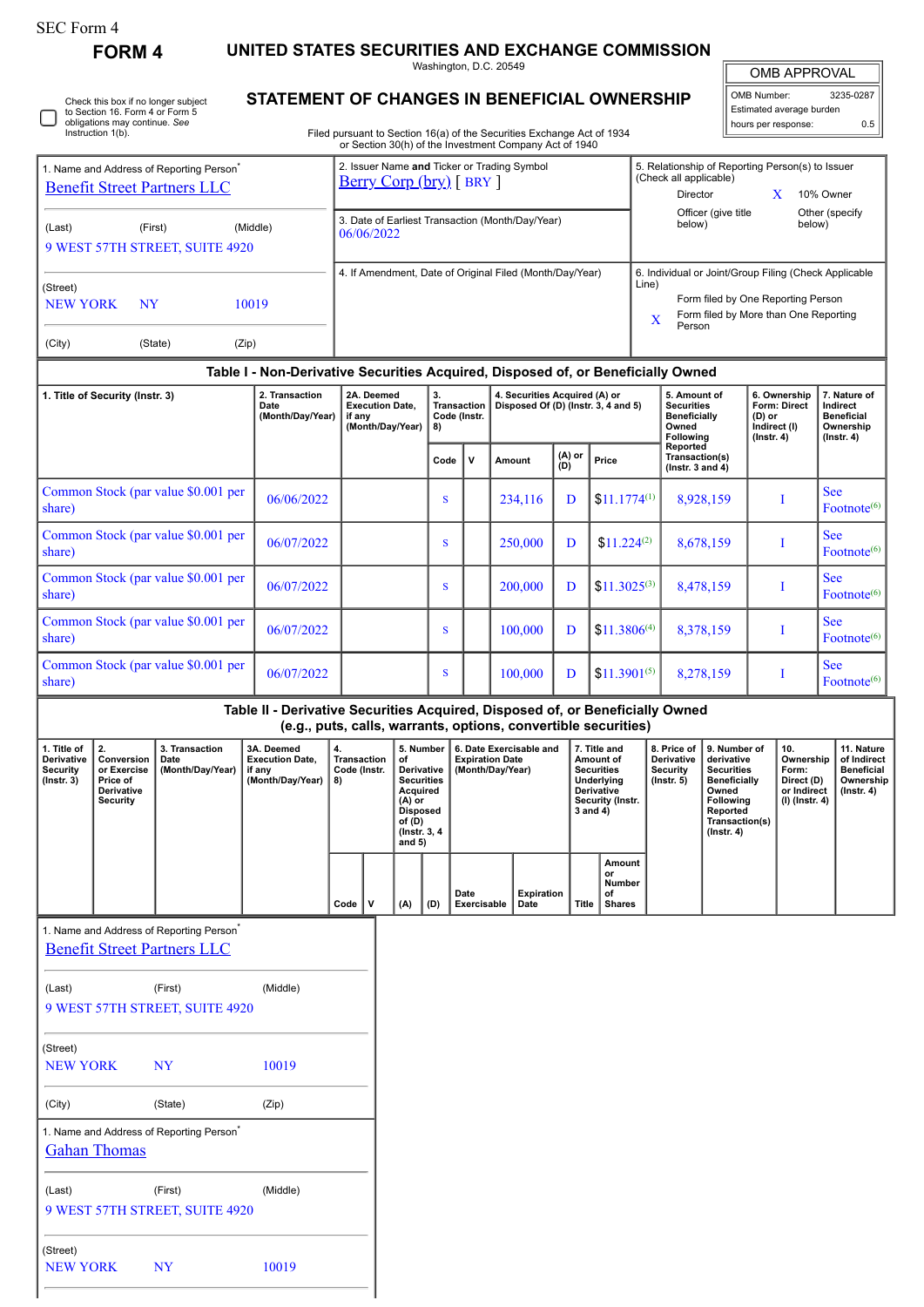| SEC Form 4 |
|------------|
|------------|

∩

Check this box if no longer subject to Section 16. Form 4 or Form 5 obligations may continue. *See* Instruction 1(b).

1. Name and Address of Reporting Person\* [Benefit Street Partners LLC](http://www.sec.gov/cgi-bin/browse-edgar?action=getcompany&CIK=0001543160)

(Last) (First) (Middle)

**FORM 4 UNITED STATES SECURITIES AND EXCHANGE COMMISSION**

| OMB APPROVAL |  |  |
|--------------|--|--|

 $0.5\,$ 

|                                                     | Washington, D.C. 20549                                                                                                           |                                                                                        |                     |           |                 |  |
|-----------------------------------------------------|----------------------------------------------------------------------------------------------------------------------------------|----------------------------------------------------------------------------------------|---------------------|-----------|-----------------|--|
|                                                     | OMB APPROVAL                                                                                                                     |                                                                                        |                     |           |                 |  |
| <b>STATEMENT OF CHANGES IN BENEFICIAL OWNERSHIP</b> | OMB Number:<br>Estimated average burden                                                                                          |                                                                                        | 3235-0287           |           |                 |  |
|                                                     | Filed pursuant to Section 16(a) of the Securities Exchange Act of 1934<br>or Section 30(h) of the Investment Company Act of 1940 |                                                                                        | hours per response: |           | 0.5             |  |
|                                                     | 2. Issuer Name and Ticker or Trading Symbol<br><u>Berry Corp (bry)</u> [BRY]                                                     | 5. Relationship of Reporting Person(s) to Issuer<br>(Check all applicable)<br>Director |                     | 10% Owner |                 |  |
| liddle)<br>20                                       | 3. Date of Earliest Transaction (Month/Day/Year)<br>06/06/2022                                                                   | Officer (give title<br>below)                                                          |                     | below)    | Other (specify) |  |
|                                                     | 4. If Amendment, Date of Original Filed (Month/Day/Year)                                                                         | 6. Individual or Joint/Group Filing (Check Applicable                                  |                     |           |                 |  |

| (Last)                                              |                                                                              | (First)<br>9 WEST 57TH STREET, SUITE 4920                                                  | (Middle)                                                                         | 06/06/2022                                               |            |                                                                                                                                    |                                         |                     | Delow)                                                                                                                                             |               |                                                                                                                | Delow) |                                                                                |                                                                                                                                                |                                            |                                                                          |                                                                                 |  |
|-----------------------------------------------------|------------------------------------------------------------------------------|--------------------------------------------------------------------------------------------|----------------------------------------------------------------------------------|----------------------------------------------------------|------------|------------------------------------------------------------------------------------------------------------------------------------|-----------------------------------------|---------------------|----------------------------------------------------------------------------------------------------------------------------------------------------|---------------|----------------------------------------------------------------------------------------------------------------|--------|--------------------------------------------------------------------------------|------------------------------------------------------------------------------------------------------------------------------------------------|--------------------------------------------|--------------------------------------------------------------------------|---------------------------------------------------------------------------------|--|
| (Street)<br><b>NEW YORK</b>                         | NY                                                                           |                                                                                            | 10019                                                                            | 4. If Amendment, Date of Original Filed (Month/Day/Year) |            |                                                                                                                                    |                                         |                     | 6. Individual or Joint/Group Filing (Check Applicable<br>Line)<br>Form filed by One Reporting Person<br>Form filed by More than One Reporting<br>X |               |                                                                                                                |        |                                                                                |                                                                                                                                                |                                            |                                                                          |                                                                                 |  |
| (City)                                              |                                                                              | (State)                                                                                    | (Zip)                                                                            |                                                          |            |                                                                                                                                    |                                         |                     |                                                                                                                                                    |               |                                                                                                                |        | Person                                                                         |                                                                                                                                                |                                            |                                                                          |                                                                                 |  |
|                                                     |                                                                              |                                                                                            | Table I - Non-Derivative Securities Acquired, Disposed of, or Beneficially Owned |                                                          |            |                                                                                                                                    |                                         |                     |                                                                                                                                                    |               |                                                                                                                |        |                                                                                |                                                                                                                                                |                                            |                                                                          |                                                                                 |  |
|                                                     | 1. Title of Security (Instr. 3)                                              |                                                                                            | 2. Transaction<br>Date<br>(Month/Day/Year)                                       | if any                                                   | 2A. Deemed | <b>Execution Date,</b><br>(Month/Day/Year)                                                                                         | 3.<br>Transaction<br>Code (Instr.<br>8) |                     | 4. Securities Acquired (A) or<br>Disposed Of (D) (Instr. 3, 4 and 5)                                                                               |               |                                                                                                                |        | 5. Amount of<br><b>Securities</b><br><b>Beneficially</b><br>Owned<br>Following |                                                                                                                                                | (D) or<br>Indirect (I)<br>$($ Instr. 4 $)$ | 6. Ownership<br><b>Form: Direct</b>                                      | 7. Nature of<br>Indirect<br><b>Beneficial</b><br>Ownership<br>$($ lnstr. 4 $)$  |  |
|                                                     |                                                                              |                                                                                            |                                                                                  |                                                          |            |                                                                                                                                    | Code                                    | v                   | Amount                                                                                                                                             | (A) or<br>(D) | Price                                                                                                          |        | Reported<br>Transaction(s)<br>( $lnstr. 3 and 4$ )                             |                                                                                                                                                |                                            |                                                                          |                                                                                 |  |
| share)                                              |                                                                              | Common Stock (par value \$0.001 per                                                        | 06/06/2022                                                                       |                                                          |            |                                                                                                                                    | S                                       |                     | 234,116                                                                                                                                            | D             | $$11.1774^{(1)}$                                                                                               |        |                                                                                | 8,928,159                                                                                                                                      |                                            | I                                                                        | <b>See</b><br>Footnote <sup>(6)</sup>                                           |  |
| share)                                              |                                                                              | Common Stock (par value \$0.001 per                                                        | 06/07/2022                                                                       |                                                          |            |                                                                                                                                    | S                                       |                     | 250,000                                                                                                                                            | D             | $$11.224^{(2)}$                                                                                                |        |                                                                                | 8,678,159                                                                                                                                      |                                            | I                                                                        | <b>See</b><br>Footnote <sup>(6)</sup>                                           |  |
| share)                                              |                                                                              | Common Stock (par value \$0.001 per                                                        | 06/07/2022                                                                       |                                                          |            |                                                                                                                                    | S                                       |                     | 200,000                                                                                                                                            | D             | $$11.3025^{(3)}$                                                                                               |        |                                                                                | 8,478,159                                                                                                                                      |                                            | I                                                                        | <b>See</b><br>Footnote <sup>(6)</sup>                                           |  |
| share)                                              |                                                                              | Common Stock (par value \$0.001 per                                                        | 06/07/2022                                                                       |                                                          |            |                                                                                                                                    | S                                       |                     | 100,000                                                                                                                                            | D             | $$11.3806^{(4)}$                                                                                               |        |                                                                                | 8,378,159                                                                                                                                      |                                            | I                                                                        | <b>See</b><br>Footnote $(6)$                                                    |  |
| share)                                              |                                                                              | Common Stock (par value \$0.001 per                                                        | 06/07/2022                                                                       |                                                          |            |                                                                                                                                    | S                                       |                     | 100,000                                                                                                                                            | D             | $$11.3901^{(5)}$                                                                                               |        |                                                                                | 8,278,159                                                                                                                                      |                                            | I                                                                        | <b>See</b><br>Footnote $(6)$                                                    |  |
|                                                     |                                                                              |                                                                                            | Table II - Derivative Securities Acquired, Disposed of, or Beneficially Owned    |                                                          |            |                                                                                                                                    |                                         |                     | (e.g., puts, calls, warrants, options, convertible securities)                                                                                     |               |                                                                                                                |        |                                                                                |                                                                                                                                                |                                            |                                                                          |                                                                                 |  |
| 1. Title of<br>Derivative<br>Security<br>(Instr. 3) | 2.<br>Conversion<br>or Exercise<br>Price of<br>Derivative<br><b>Security</b> | 3. Transaction<br>Date<br>(Month/Day/Year)                                                 | 3A. Deemed<br><b>Execution Date,</b><br>if any<br>(Month/Day/Year)               | 4.<br><b>Transaction</b><br>Code (Instr.<br>8)           |            | 5. Number<br>of<br>Derivative<br><b>Securities</b><br>Acquired<br>(A) or<br><b>Disposed</b><br>of (D)<br>(Instr. 3, 4)<br>and $5)$ |                                         |                     | 6. Date Exercisable and<br><b>Expiration Date</b><br>(Month/Day/Year)                                                                              |               | 7. Title and<br>Amount of<br><b>Securities</b><br>Underlying<br>Derivative<br>Security (Instr.<br>$3$ and $4)$ |        | 8. Price of<br>Derivative<br><b>Security</b><br>(Instr. 5)                     | 9. Number of<br>derivative<br><b>Securities</b><br><b>Beneficially</b><br>Owned<br>Following<br>Reported<br>Transaction(s)<br>$($ Instr. 4 $)$ |                                            | 10.<br>Ownership<br>Form:<br>Direct (D)<br>or Indirect<br>(I) (Instr. 4) | 11. Nature<br>of Indirect<br><b>Beneficial</b><br>Ownership<br>$($ lnstr. 4 $)$ |  |
|                                                     |                                                                              |                                                                                            |                                                                                  | Code                                                     | v          | (A)                                                                                                                                | (D)                                     | Date<br>Exercisable | Expiration<br>Date                                                                                                                                 |               | Amount<br>or<br>Number<br>of<br>Title<br><b>Shares</b>                                                         |        |                                                                                |                                                                                                                                                |                                            |                                                                          |                                                                                 |  |
|                                                     |                                                                              | 1. Name and Address of Reporting Person <sup>*</sup><br><b>Benefit Street Partners LLC</b> |                                                                                  |                                                          |            |                                                                                                                                    |                                         |                     |                                                                                                                                                    |               |                                                                                                                |        |                                                                                |                                                                                                                                                |                                            |                                                                          |                                                                                 |  |
| (Last)                                              |                                                                              | (First)<br>9 WEST 57TH STREET, SUITE 4920                                                  | (Middle)                                                                         |                                                          |            |                                                                                                                                    |                                         |                     |                                                                                                                                                    |               |                                                                                                                |        |                                                                                |                                                                                                                                                |                                            |                                                                          |                                                                                 |  |
| (Street)<br><b>NEW YORK</b>                         |                                                                              | <b>NY</b>                                                                                  | 10019                                                                            |                                                          |            |                                                                                                                                    |                                         |                     |                                                                                                                                                    |               |                                                                                                                |        |                                                                                |                                                                                                                                                |                                            |                                                                          |                                                                                 |  |
| (City)                                              |                                                                              | (State)                                                                                    | (Zip)                                                                            |                                                          |            |                                                                                                                                    |                                         |                     |                                                                                                                                                    |               |                                                                                                                |        |                                                                                |                                                                                                                                                |                                            |                                                                          |                                                                                 |  |
|                                                     | <b>Gahan Thomas</b>                                                          | 1. Name and Address of Reporting Person <sup>®</sup>                                       |                                                                                  |                                                          |            |                                                                                                                                    |                                         |                     |                                                                                                                                                    |               |                                                                                                                |        |                                                                                |                                                                                                                                                |                                            |                                                                          |                                                                                 |  |
| (Last)                                              |                                                                              | (First)                                                                                    | (Middle)                                                                         |                                                          |            |                                                                                                                                    |                                         |                     |                                                                                                                                                    |               |                                                                                                                |        |                                                                                |                                                                                                                                                |                                            |                                                                          |                                                                                 |  |

## 9 WEST 57TH STREET, SUITE 4920

| (Street)        |    |       |
|-----------------|----|-------|
| <b>NEW YORK</b> | NY | 10019 |